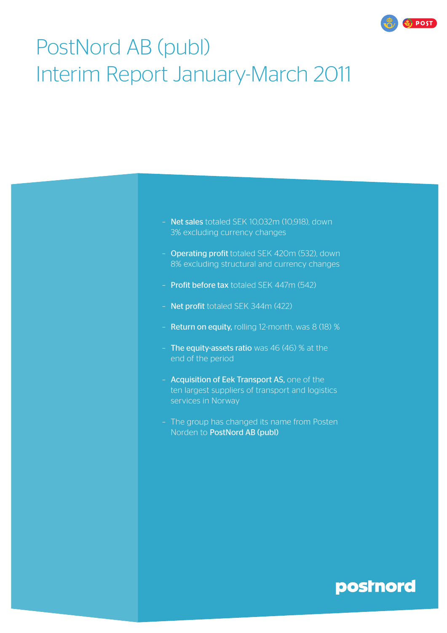

# PostNord AB (publ) Interim Report January-March 2011

- Net sales totaled SEK 10,032m (10,918), down 3% excluding currency changes
- Operating profit totaled SEK 420m (532), down 8% excluding structural and currency changes
- Profit before tax totaled SEK 447m (542)
- Net profit totaled SEK 344m (422)
- Return on equity, rolling 12-month, was 8 (18) %
- The equity-assets ratio was 46 (46) % at the end of the period
- Acquisition of Eek Transport AS, one of the ten largest suppliers of transport and logistics services in Norway
- The group has changed its name from Posten Norden to PostNord AB (publ)

## postnord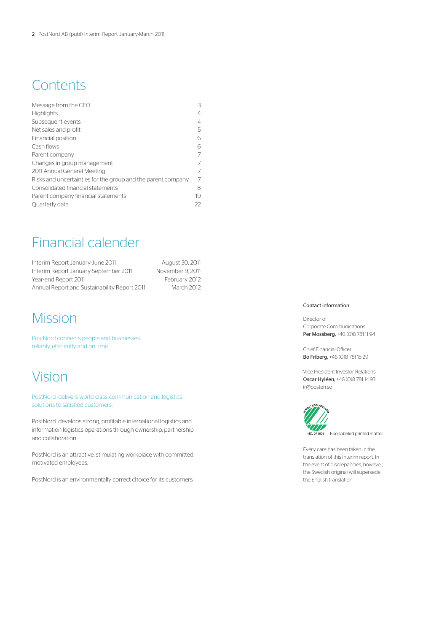## **Contents**

| Message from the CEO                                         | 3  |
|--------------------------------------------------------------|----|
| <b>Highlights</b>                                            | 4  |
| Subsequent events                                            | 4  |
| Net sales and profit                                         | 5  |
| Financial position                                           | 6  |
| Cash flows                                                   | 6  |
| Parent company                                               | 7  |
| Changes in group management                                  |    |
| 2011 Annual General Meeting                                  | 7  |
| Risks and uncertainties for the group and the parent company | 7  |
| Consolidated financial statements                            | 8  |
| Parent company financial statements                          | 19 |
| Quarterly data                                               | 22 |

### Financial calender

| Interim Report January-June 2011             | August 30, 2011  |
|----------------------------------------------|------------------|
| Interim Report January-September 2011        | November 9, 2011 |
| Year-end Report 2011                         | February 2012    |
| Annual Report and Sustainability Report 2011 | March 2012       |
|                                              |                  |

### Mission

PostNord connects people and businesses reliably, efficiently and on time.

## Vision

PostNord delivers world-class communication and logistics solutions to satisfied customers.

PostNord develops strong, profitable international logistics and information logistics operations through ownership, partnership and collaboration.

PostNord is an attractive, stimulating workplace with committed, motivated employees.

PostNord is an environmentally correct choice for its customers.

#### Contact information

Director of Corporate Communications Per Mossberg, +46 (0)8 781 11 94

Chief Financial Officer Bo Friberg, +46 (0)8 781 15 29

Vice President Investor Relations Oscar Hyléen, +46 (0)8 781 14 93 ir@posten.se



Every care has been taken in the translation of this interim report. In the event of discrepancies, however, the Swedish original will supersede the English translation.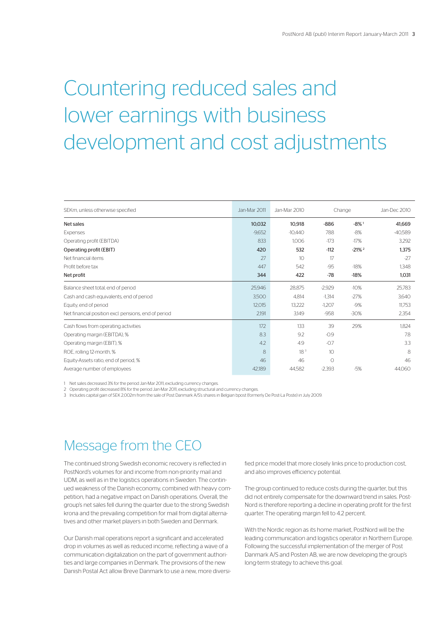# Countering reduced sales and lower earnings with business development and cost adjustments

| SEKm, unless otherwise specified                     | Jan-Mar 2011 | Jan-Mar 2010    |            | Change               | Jan-Dec 2010 |
|------------------------------------------------------|--------------|-----------------|------------|----------------------|--------------|
| Net sales                                            | 10,032       | 10,918          | $-886$     | $-8%$ <sup>1</sup>   | 41,669       |
| Expenses                                             | $-9,652$     | $-10,440$       | 788        | $-8%$                | $-40,589$    |
| Operating profit (EBITDA)                            | 833          | 1,006           | $-173$     | $-17%$               | 3,292        |
| Operating profit (EBIT)                              | 420          | 532             | $-112$     | $-21\%$ <sup>2</sup> | 1,375        |
| Net financial items                                  | 27           | 10              | 17         |                      | $-27$        |
| Profit before tax                                    | 447          | 542             | -95        | $-18%$               | 1,348        |
| Net profit                                           | 344          | 422             | $-78$      | $-18%$               | 1,031        |
| Balance sheet total, end of period                   | 25,946       | 28,875          | $-2,929$   | $-10%$               | 25,783       |
| Cash and cash equivalents, end of period             | 3,500        | 4,814           | $-1,314$   | $-27%$               | 3,640        |
| Equity, end of period                                | 12,015       | 13,222          | $-1,207$   | -9%                  | 11.753       |
| Net financial position excl. pensions, end of period | 2,191        | 3,149           | $-958$     | $-30%$               | 2,354        |
| Cash flows from operating activities                 | 172          | 133             | 39         | 29%                  | 1,824        |
| Operating margin (EBITDA), %                         | 8.3          | 9.2             | $-0.9$     |                      | 7.8          |
| Operating margin (EBIT), %                           | 4.2          | 4.9             | $-0.7$     |                      | 3.3          |
| ROE, rolling 12-month, %                             | 8            | 18 <sup>3</sup> | 10         |                      | 8            |
| Equity-Assets ratio, end of period, %                | 46           | 46              | $\bigcirc$ |                      | 46           |
| Average number of employees                          | 42.189       | 44,582          | $-2,393$   | $-5%$                | 44,060       |

1 Net sales decreased 3% for the period Jan-Mar 2011, excluding currency changes.

2 Operating profit decreased 8% for the period Jan-Mar 2011, excluding structural and currency changes.

3 Includes capital gain of SEK 2,002m from the sale of Post Danmark A/S's shares in Belgian bpost (formerly De Post-La Poste) in July 2009.

### Message from the CEO

The continued strong Swedish economic recovery is reflected in PostNord's volumes for and income from non-priority mail and UDM, as well as in the logistics operations in Sweden. The continued weakness of the Danish economy, combined with heavy competition, had a negative impact on Danish operations. Overall, the group's net sales fell during the quarter due to the strong Swedish krona and the prevailing competition for mail from digital alternatives and other market players in both Sweden and Denmark.

Our Danish mail operations report a significant and accelerated drop in volumes as well as reduced income, reflecting a wave of a communication digitalization on the part of government authorities and large companies in Denmark. The provisions of the new Danish Postal Act allow Breve Danmark to use a new, more diversified price model that more closely links price to production cost, and also improves efficiency potential.

The group continued to reduce costs during the quarter, but this did not entirely compensate for the downward trend in sales. Post-Nord is therefore reporting a decline in operating profit for the first quarter. The operating margin fell to 4.2 percent.

With the Nordic region as its home market, PostNord will be the leading communication and logistics operator in Northern Europe. Following the successful implementation of the merger of Post Danmark A/S and Posten AB, we are now developing the group's long-term strategy to achieve this goal.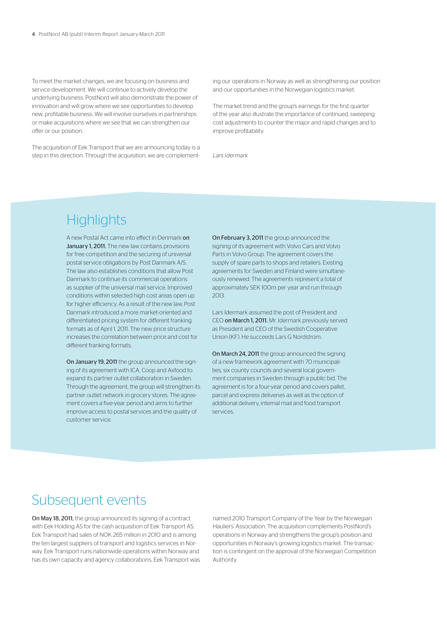To meet the market changes, we are focusing on business and service development. We will continue to actively develop the underlying business. PostNord will also demonstrate the power of innovation and will grow where we see opportunities to develop new, profitable business. We will involve ourselves in partnerships or make acquisitions where we see that we can strengthen our offer or our position.

The acquisition of Eek Transport that we are announcing today is a step in this direction. Through the acquisition, we are complementing our operations in Norway as well as strengthening our position and our opportunities in the Norwegian logistics market.

The market trend and the group's earnings for the first quarter of the year also illustrate the importance of continued, sweeping cost adjustments to counter the major and rapid changes and to improve profitability.

*Lars Idermark*

### **Highlights**

A new Postal Act came into effect in Denmark on January 1, 2011. The new law contains provisions for free competition and the securing of universal postal service obligations by Post Danmark A/S. The law also establishes conditions that allow Post Danmark to continue its commercial operations as supplier of the universal mail service. Improved conditions within selected high cost areas open up for higher efficiency. As a result of the new law, Post Danmark introduced a more market-oriented and differentiated pricing system for different franking formats as of April 1, 2011. The new price structure increases the correlation between price and cost for different franking formats.

On January 19, 2011 the group announced the signing of its agreement with ICA, Coop and Axfood to expand its partner outlet collaboration in Sweden. Through the agreement, the group will strengthen its partner outlet network in grocery stores. The agreement covers a five-year period and aims to further improve access to postal services and the quality of customer service.

On February 3, 2011 the group announced the signing of its agreement with Volvo Cars and Volvo Parts in Volvo Group. The agreement covers the supply of spare parts to shops and retailers. Existing agreements for Sweden and Finland were simultaneously renewed. The agreements represent a total of approximately SEK 100m per year and run through 2013.

Lars Idermark assumed the post of President and CEO on March 1, 2011. Mr. Idermark previously served as President and CEO of the Swedish Cooperative Union (KF). He succeeds Lars G Nordström.

On March 24, 2011 the group announced the signing of a new framework agreement with 70 municipalities, six county councils and several local government companies in Sweden through a public bid. The agreement is for a four-year period and covers pallet, parcel and express deliveries as well as the option of additional delivery, internal mail and food transport services.

### Subsequent events

On May 18, 2011, the group announced its signing of a contract with Eek Holding AS for the cash acquisition of Eek Transport AS. Eek Transport had sales of NOK 265 million in 2010 and is among the ten largest suppliers of transport and logistics services in Norway. Eek Transport runs nationwide operations within Norway and has its own capacity and agency collaborations. Eek Transport was named 2010 Transport Company of the Year by the Norwegian Hauliers' Association. The acquisition complements PostNord's operations in Norway and strengthens the group's position and opportunities in Norway's growing logistics market. The transaction is contingent on the approval of the Norwegian Competition Authority.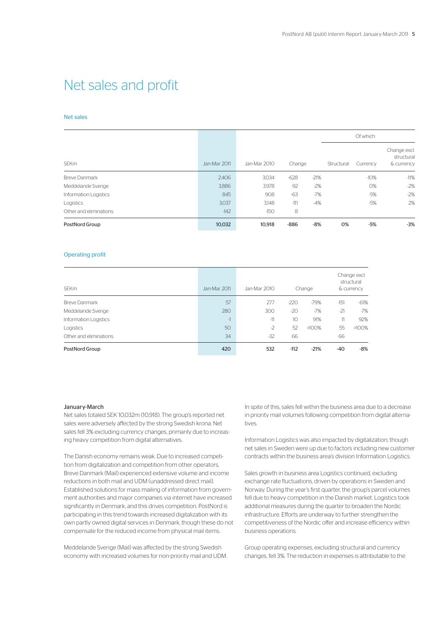### Net sales and profit

#### Net sales

|                        |              |              |        |        |            | Of which |                                          |
|------------------------|--------------|--------------|--------|--------|------------|----------|------------------------------------------|
| <b>SEKm</b>            | Jan-Mar 2011 | Jan-Mar 2010 | Change |        | Structural | Currency | Change excl.<br>structural<br>& currency |
| <b>Breve Danmark</b>   | 2.406        | 3,034        | $-628$ | $-21%$ |            | $-10%$   | $-11%$                                   |
| Meddelande Sverige     | 3,886        | 3,978        | $-92$  | $-2\%$ |            | 0%       | $-2%$                                    |
| Information Logistics  | 845          | 908          | $-63$  | $-7%$  |            | $-5%$    | $-2%$                                    |
| Logistics              | 3,037        | 3,148        | $-111$ | $-4%$  |            | $-5%$    | 2%                                       |
| Other and eliminations | $-142$       | $-150$       | 8      |        |            |          |                                          |
| PostNord Group         | 10,032       | 10.918       | $-886$ | -8%    | 0%         | $-5%$    | $-3%$                                    |

#### Operating profit

| <b>SEKm</b>            | Jan-Mar 2011 | Jan-Mar 2010 |        | Change   |        | Change excl.<br>structural<br>& currency |
|------------------------|--------------|--------------|--------|----------|--------|------------------------------------------|
| <b>Breve Danmark</b>   | 57           | 277          | $-220$ | $-79%$   | $-151$ | $-61%$                                   |
| Meddelande Sverige     | 280          | 300          | $-20$  | $-7%$    | $-21$  | $-7%$                                    |
| Information Logistics  | $-1$         | $-11$        | 10     | 91%      | 11     | 92%                                      |
| Logistics              | 50           | $-2$         | 52     | $>100\%$ | 55     | $>100\%$                                 |
| Other and eliminations | 34           | $-32$        | 66     |          | 66     |                                          |
| PostNord Group         | 420          | 532          | $-112$ | $-21%$   | -40    | $-8%$                                    |

#### January-March

Net sales totaled SEK 10,032m (10,918). The group's reported net sales were adversely affected by the strong Swedish krona. Net sales fell 3% excluding currency changes, primarily due to increasing heavy competition from digital alternatives.

The Danish economy remains weak. Due to increased competition from digitalization and competition from other operators, Breve Danmark (Mail) experienced extensive volume and income reductions in both mail and UDM (unaddressed direct mail). Established solutions for mass mailing of information from government authorities and major companies via internet have increased significantly in Denmark, and this drives competition. PostNord is participating in this trend towards increased digitalization with its own partly owned digital services in Denmark, though these do not compensate for the reduced income from physical mail items.

Meddelande Sverige (Mail) was affected by the strong Swedish economy with increased volumes for non-priority mail and UDM. In spite of this, sales fell within the business area due to a decrease in priority mail volumes following competition from digital alternatives.

Information Logistics was also impacted by digitalization, though net sales in Sweden were up due to factors including new customer contracts within the business area's division Information Logistics.

Sales growth in business area Logistics continued, excluding exchange rate fluctuations, driven by operations in Sweden and Norway. During the year's first quarter, the group's parcel volumes fell due to heavy competition in the Danish market. Logistics took additional measures during the quarter to broaden the Nordic infrastructure. Efforts are underway to further strengthen the competitiveness of the Nordic offer and increase efficiency within business operations.

Group operating expenses, excluding structural and currency changes, fell 3%. The reduction in expenses is attributable to the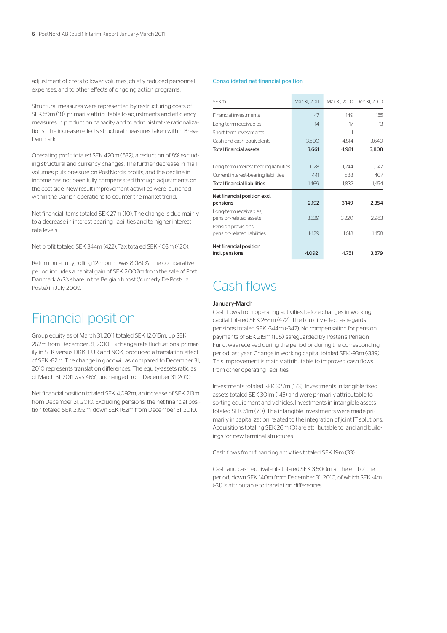adjustment of costs to lower volumes, chiefly reduced personnel expenses, and to other effects of ongoing action programs.

Structural measures were represented by restructuring costs of SEK 59m (18), primarily attributable to adjustments and efficiency measures in production capacity and to administrative rationalizations. The increase reflects structural measures taken within Breve Danmark.

Operating profit totaled SEK 420m (532), a reduction of 8% excluding structural and currency changes. The further decrease in mail volumes puts pressure on PostNord's profits, and the decline in income has not been fully compensated through adjustments on the cost side. New result improvement activities were launched within the Danish operations to counter the market trend.

Net financial items totaled SEK 27m (10). The change is due mainly to a decrease in interest-bearing liabilities and to higher interest rate levels.

Net profit totaled SEK 344m (422). Tax totaled SEK -103m (-120).

Return on equity, rolling 12-month, was 8 (18) %. The comparative period includes a capital gain of SEK 2,002m from the sale of Post Danmark A/S's share in the Belgian bpost (formerly De Post-La Poste) in July 2009.

### Financial position

Group equity as of March 31, 2011 totaled SEK 12,015m, up SEK 262m from December 31, 2010. Exchange rate fluctuations, primarily in SEK versus DKK, EUR and NOK, produced a translation effect of SEK -82m. The change in goodwill as compared to December 31, 2010 represents translation differences. The equity-assets ratio as of March 31, 2011 was 46%, unchanged from December 31, 2010.

Net financial position totaled SEK 4,092m, an increase of SEK 213m from December 31, 2010. Excluding pensions, the net financial position totaled SEK 2,192m, down SEK 162m from December 31, 2010.

#### Consolidated net financial position

| <b>SFKm</b>                                        | Mar 31, 2011 |       | Mar 31, 2010 Dec 31, 2010 |
|----------------------------------------------------|--------------|-------|---------------------------|
| <b>Financial investments</b>                       | 147          | 149   | 155                       |
| Long-term receivables                              | 14           | 17    | 13                        |
| Short-term investments                             |              |       |                           |
| Cash and cash equivalents                          | 3.500        | 4.814 | 3.640                     |
| <b>Total financial assets</b>                      | 3,661        | 4.981 | 3.808                     |
|                                                    |              |       |                           |
| Long-term interest-bearing liabilities             | 1.028        | 1.244 | 1.047                     |
| Current interest-bearing liabilities               | 441          | 588   | 407                       |
| <b>Total financial liabilities</b>                 | 1,469        | 1.832 | 1.454                     |
| Net financial position excl.<br>pensions           | 2,192        | 3,149 | 2,354                     |
| Long-term receivables,<br>pension-related assets   | 3,329        | 3.220 | 2.983                     |
| Pension provisions,<br>pension-related liabilities | 1,429        | 1,618 | 1.458                     |
| Net financial position<br>incl. pensions           | 4.092        | 4.751 | 3.879                     |

### Cash flows

#### January-March

Cash flows from operating activities before changes in working capital totaled SEK 265m (472). The liquidity effect as regards pensions totaled SEK -344m (-342). No compensation for pension payments of SEK 215m (195), safeguarded by Posten's Pension Fund, was received during the period or during the corresponding period last year. Change in working capital totaled SEK -93m (-339). This improvement is mainly attributable to improved cash flows from other operating liabilities.

Investments totaled SEK 327m (173). Investments in tangible fixed assets totaled SEK 301m (145) and were primarily attributable to sorting equipment and vehicles. Investments in intangible assets totaled SEK 51m (70). The intangible investments were made primarily in capitalization related to the integration of joint IT solutions. Acquisitions totaling SEK 26m (0) are attributable to land and buildings for new terminal structures.

Cash flows from financing activities totaled SEK 19m (33).

Cash and cash equivalents totaled SEK 3,500m at the end of the period, down SEK 140m from December 31, 2010, of which SEK -4m (-31) is attributable to translation differences.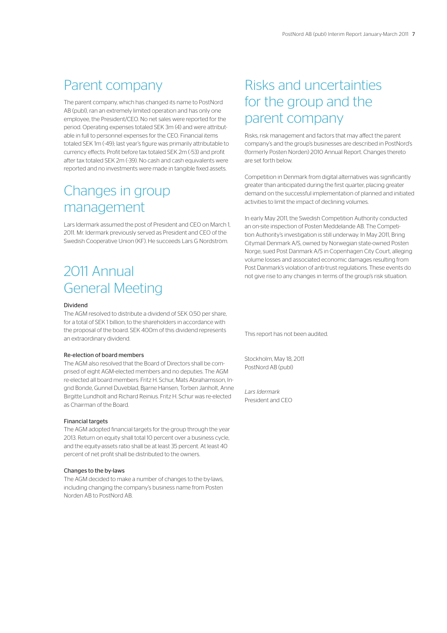### Parent company

The parent company, which has changed its name to PostNord AB (publ), ran an extremely limited operation and has only one employee, the President/CEO. No net sales were reported for the period. Operating expenses totaled SEK 3m (4) and were attributable in full to personnel expenses for the CEO. Financial items totaled SEK 1m (-49); last year's figure was primarily attributable to currency effects. Profit before tax totaled SEK 2m (-53) and profit after tax totaled SEK 2m (-39). No cash and cash equivalents were reported and no investments were made in tangible fixed assets.

### Changes in group management

Lars Idermark assumed the post of President and CEO on March 1, 2011. Mr. Idermark previously served as President and CEO of the Swedish Cooperative Union (KF). He succeeds Lars G Nordström.

## 2011 Annual General Meeting

#### Dividend

The AGM resolved to distribute a dividend of SEK 0.50 per share, for a total of SEK 1 billion, to the shareholders in accordance with the proposal of the board. SEK 400m of this dividend represents an extraordinary dividend.

#### Re-election of board members

The AGM also resolved that the Board of Directors shall be comprised of eight AGM-elected members and no deputies. The AGM re-elected all board members: Fritz H. Schur, Mats Abrahamsson, Ingrid Bonde, Gunnel Duveblad, Bjarne Hansen, Torben Janholt, Anne Birgitte Lundholt and Richard Reinius. Fritz H. Schur was re-elected as Chairman of the Board.

#### Financial targets

The AGM adopted financial targets for the group through the year 2013. Return on equity shall total 10 percent over a business cycle, and the equity-assets ratio shall be at least 35 percent. At least 40 percent of net profit shall be distributed to the owners.

#### Changes to the by-laws

The AGM decided to make a number of changes to the by-laws, including changing the company's business name from Posten Norden AB to PostNord AB.

### Risks and uncertainties for the group and the parent company

Risks, risk management and factors that may affect the parent company's and the group's businesses are described in PostNord's (formerly Posten Norden) 2010 Annual Report. Changes thereto are set forth below.

Competition in Denmark from digital alternatives was significantly greater than anticipated during the first quarter, placing greater demand on the successful implementation of planned and initiated activities to limit the impact of declining volumes.

In early May 2011, the Swedish Competition Authority conducted an on-site inspection of Posten Meddelande AB. The Competition Authority's investigation is still underway. In May 2011, Bring Citymail Denmark A/S, owned by Norwegian state-owned Posten Norge, sued Post Danmark A/S in Copenhagen City Court, alleging volume losses and associated economic damages resulting from Post Danmark's violation of anti-trust regulations. These events do not give rise to any changes in terms of the group's risk situation.

This report has not been audited.

Stockholm, May 18, 2011 PostNord AB (publ)

*Lars Idermark* President and CEO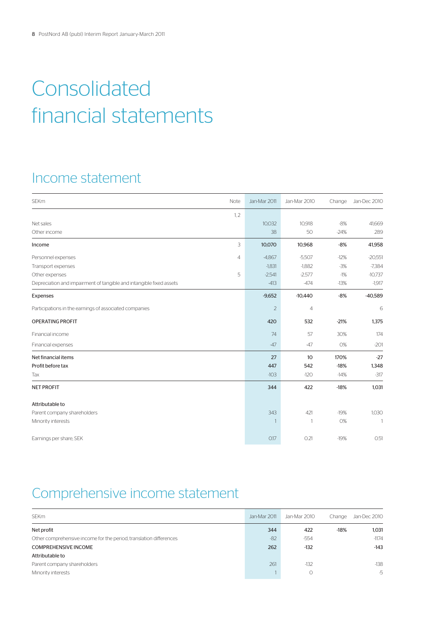# Consolidated financial statements

### Income statement

| <b>SEKm</b>                                                         | Note           | Jan-Mar 2011   | Jan-Mar 2010   | Change    | Jan-Dec 2010 |
|---------------------------------------------------------------------|----------------|----------------|----------------|-----------|--------------|
|                                                                     | 1, 2           |                |                |           |              |
| Net sales                                                           |                | 10,032         | 10,918         | $-8%$     | 41,669       |
| Other income                                                        |                | 38             | 50             | $-24%$    | 289          |
| Income                                                              | 3              | 10,070         | 10,968         | $-8%$     | 41,958       |
| Personnel expenses                                                  | $\overline{4}$ | $-4,867$       | $-5,507$       | $-12%$    | $-20,551$    |
| Transport expenses                                                  |                | $-1,831$       | $-1,882$       | $-3%$     | $-7,384$     |
| Other expenses                                                      | 5              | $-2,541$       | $-2,577$       | $-1%$     | $-10,737$    |
| Depreciation and impairment of tangible and intangible fixed assets |                | $-413$         | $-474$         | $-13%$    | $-1,917$     |
| Expenses                                                            |                | $-9,652$       | $-10,440$      | $-8%$     | $-40,589$    |
| Participations in the earnings of associated companies              |                | $\overline{2}$ | $\overline{4}$ |           | 6            |
| <b>OPERATING PROFIT</b>                                             |                | 420            | 532            | $-21%$    | 1,375        |
| Financial income                                                    |                | 74             | 57             | 30%       | 174          |
| Financial expenses                                                  |                | $-47$          | $-47$          | <b>O%</b> | $-201$       |
| Net financial items                                                 |                | 27             | 10             | 170%      | $-27$        |
| Profit before tax                                                   |                | 447            | 542            | $-18%$    | 1,348        |
| Tax                                                                 |                | $-103$         | $-120$         | $-14%$    | $-317$       |
| <b>NET PROFIT</b>                                                   |                | 344            | 422            | $-18%$    | 1,031        |
| Attributable to                                                     |                |                |                |           |              |
| Parent company shareholders                                         |                | 343            | 421            | $-19%$    | 1,030        |
| Minority interests                                                  |                |                |                | 0%        | 1            |
| Earnings per share, SEK                                             |                | O.17           | 0.21           | $-19%$    | 0.51         |

## Comprehensive income statement

| <b>SEKm</b>                                                        | Jan-Mar 2011 | Jan-Mar 2010 | Change | Jan-Dec 2010 |
|--------------------------------------------------------------------|--------------|--------------|--------|--------------|
| Net profit                                                         | 344          | 422          | $-18%$ | 1.031        |
| Other comprehensive income for the period, translation differences | $-82$        | $-554$       |        | $-1174$      |
| <b>COMPREHENSIVE INCOME</b>                                        | 262          | $-132$       |        | $-143$       |
| Attributable to                                                    |              |              |        |              |
| Parent company shareholders                                        | 261          | $-132$       |        | $-138$       |
| Minority interests                                                 |              |              |        | -5           |
|                                                                    |              |              |        |              |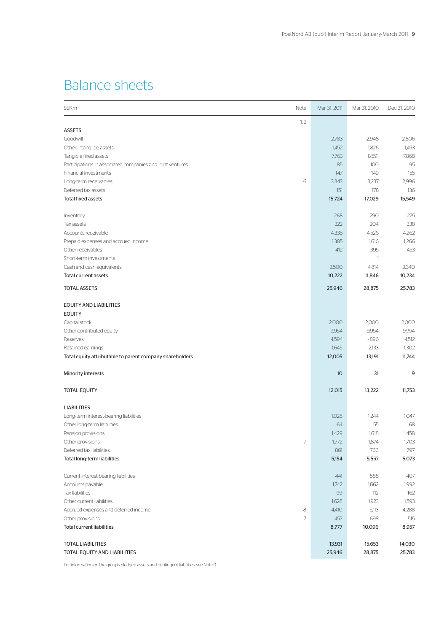## Balance sheets

| SEKm<br>Note                                              | Mar 31, 2011 | Mar 31, 2010   | Dec 31, 2010 |
|-----------------------------------------------------------|--------------|----------------|--------------|
| 1, 2                                                      |              |                |              |
| <b>ASSETS</b>                                             |              |                |              |
| Goodwill                                                  | 2,783        | 2,948          | 2,806        |
| Other intangible assets                                   | 1,452        | 1,826          | 1,493        |
| Tangible fixed assets                                     | 7,763        | 8,591          | 7,868        |
| Participations in associated companies and joint ventures | 85           | 100            | 95           |
| Financial investments                                     | 147          | 149            | 155          |
| 6<br>Long-term receivables                                | 3,343        | 3,237          | 2,996        |
| Deferred tax assets                                       | 151          | 178            | 136          |
| <b>Total fixed assets</b>                                 | 15,724       | 17,029         | 15,549       |
| Inventory                                                 | 268          | 290            | 275          |
| Tax assets                                                | 322          | 204            | 338          |
| Accounts receivable                                       | 4,335        | 4,526          | 4,262        |
| Prepaid expenses and accrued income                       | 1,385        | 1,616          | 1,266        |
| Other receivables                                         | 412          | 395            | 453          |
| Short-term investments                                    |              | $\overline{1}$ |              |
| Cash and cash equivalents                                 | 3,500        | 4,814          | 3,640        |
| Total current assets                                      | 10,222       | 11,846         | 10,234       |
| <b>TOTAL ASSETS</b>                                       | 25,946       | 28,875         | 25,783       |
| <b>EQUITY AND LIABILITIES</b>                             |              |                |              |
| <b>EQUITY</b>                                             |              |                |              |
| Capital stock                                             | 2,000        | 2,000          | 2,000        |
| Other contributed equity                                  | 9,954        | 9,954          | 9,954        |
| Reserves                                                  | $-1,594$     | $-896$         | $-1,512$     |
| Retained earnings                                         | 1,645        | 2,133          | 1,302        |
| Total equity attributable to parent company shareholders  | 12,005       | 13,191         | 11,744       |
| Minority interests                                        | 10           | 31             | 9            |
| <b>TOTAL EQUITY</b>                                       | 12,015       | 13,222         | 11,753       |
| <b>LIABILITIES</b>                                        |              |                |              |
| Long-term interest-bearing liabilities                    | 1,028        | 1,244          | 1,047        |
| Other long-term liabilities                               | 64           | 55             | 68           |
| Pension provisions                                        | 1,429        | 1,618          | 1,458        |
| 7<br>Other provisions                                     | 1,772        | 1,874          | 1,703        |
| Deferred tax liabilities                                  | 861          | 766            | 797          |
| Total long-term liabilities                               | 5,154        | 5,557          | 5,073        |
| Current interest-bearing liabilities                      | 441          | 588            | 407          |
| Accounts payable                                          | 1,742        | 1,662          | 1,992        |
| Tax liabilities                                           | 99           | 112            | 162          |
| Other current liabilities                                 | 1,628        | 1,923          | 1,593        |
| 8<br>Accrued expenses and deferred income                 | 4,410        | 5,113          | 4,288        |
| $\overline{7}$<br>Other provisions                        | 457          | 698            | 515          |
| <b>Total current liabilities</b>                          | 8,777        | 10,096         | 8,957        |
| <b>TOTAL LIABILITIES</b>                                  | 13,931       | 15,653         | 14,030       |
| TOTAL EQUITY AND LIABILITIES                              | 25,946       | 28,875         | 25,783       |

For information on the group's pledged assets and contingent liabilities, see Note 9.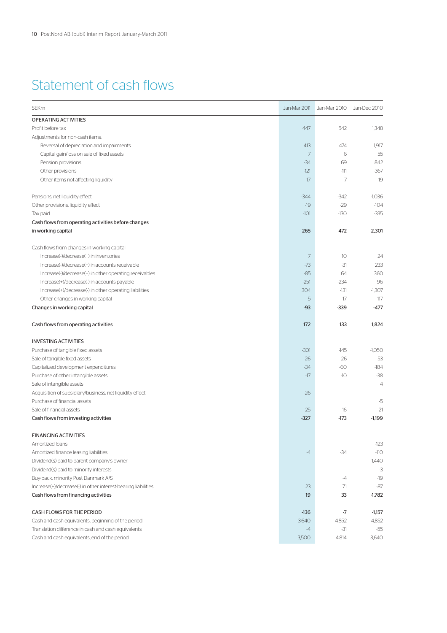# Statement of cash flows

| <b>SEKm</b>                                                   | Jan-Mar 2011 | Jan-Mar 2010 | Jan-Dec 2010 |
|---------------------------------------------------------------|--------------|--------------|--------------|
| <b>OPERATING ACTIVITIES</b>                                   |              |              |              |
| Profit before tax                                             | 447          | 542          | 1,348        |
| Adjustments for non-cash items:                               |              |              |              |
| Reversal of depreciation and impairments                      | 413          | 474          | 1,917        |
| Capital gain/loss on sale of fixed assets                     | 7            | 6            | 55           |
| Pension provisions                                            | $-34$        | 69           | 842          |
| Other provisions                                              | $-121$       | $-111$       | $-367$       |
| Other items not affecting liquidity                           | 17           | $-7$         | -19          |
| Pensions, net liquidity effect                                | $-344$       | $-342$       | $-1,036$     |
| Other provisions, liquidity effect                            | $-19$        | $-29$        | $-104$       |
| Tax paid                                                      | $-101$       | $-130$       | $-335$       |
| Cash flows from operating activities before changes           |              |              |              |
| in working capital                                            | 265          | 472          | 2,301        |
| Cash flows from changes in working capital                    |              |              |              |
| Increase(-)/decrease(+) in inventories                        | 7            | 10           | 24           |
| Increase(-)/decrease(+) in accounts receivable                | $-73$        | $-31$        | 233          |
| Increase(-)/decrease(+) in other operating receivables        | $-85$        | 64           | 360          |
| Increase(+)/decrease(-) in accounts payable                   | $-251$       | $-234$       | 96           |
| Increase(+)/decrease(-) in other operating liabilities        | 304          | $-131$       | $-1,307$     |
| Other changes in working capital                              | 5            | $-17$        | 117          |
| Changes in working capital                                    | $-93$        | $-339$       | $-477$       |
| Cash flows from operating activities                          | 172          | 133          | 1,824        |
| <b>INVESTING ACTIVITIES</b>                                   |              |              |              |
| Purchase of tangible fixed assets                             | $-301$       | $-145$       | $-1,050$     |
| Sale of tangible fixed assets                                 | 26           | 26           | 53           |
| Capitalized development expenditures                          | $-34$        | $-60$        | $-184$       |
| Purchase of other intangible assets                           | $-17$        | $-10$        | $-38$        |
| Sale of intangible assets                                     |              |              | 4            |
| Acquisition of subsidiary/business, net liquidity effect      | $-26$        |              |              |
| Purchase of financial assets                                  |              |              | $-5$         |
| Sale of financial assets                                      | 25           | 16           | 21           |
| Cash flows from investing activities                          | $-327$       | $-173$       | $-1,199$     |
| <b>FINANCING ACTIVITIES</b>                                   |              |              |              |
| Amortized loans                                               |              |              | $-123$       |
| Amortized finance leasing liabilities                         | $-4$         | $-34$        | $-110$       |
| Dividend(s) paid to parent company's owner                    |              |              | $-1,440$     |
| Dividend(s) paid to minority interests                        |              |              | -3           |
| Buy-back, minority Post Danmark A/S                           |              | -4           | $-19$        |
| Increase(+)/decrease(-) in other interest-bearing liabilities | 23           | 71           | $-87$        |
| Cash flows from financing activities                          | 19           | 33           | $-1,782$     |
| <b>CASH FLOWS FOR THE PERIOD</b>                              | $-136$       | -7           | $-1,157$     |
| Cash and cash equivalents, beginning of the period            | 3,640        | 4,852        | 4,852        |
| Translation difference in cash and cash equivalents           | $-4$         | $-31$        | $-55$        |
| Cash and cash equivalents, end of the period                  | 3,500        | 4,814        | 3,640        |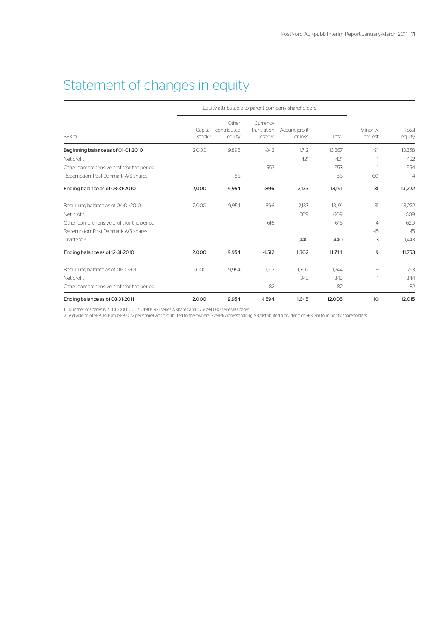# Statement of changes in equity

|                                           | Equity attributable to parent company shareholders |                                |                                    |                          |          |                      |                 |
|-------------------------------------------|----------------------------------------------------|--------------------------------|------------------------------------|--------------------------|----------|----------------------|-----------------|
| <b>SEKm</b>                               | Capital<br>stock <sup>1</sup>                      | Other<br>contributed<br>equity | Currency<br>translation<br>reserve | Accum. profit<br>or loss | Total    | Minority<br>interest | Total<br>equity |
| Beginning balance as of 01-01-2010        | 2.000                                              | 9.898                          | $-343$                             | 1.712                    | 13.267   | 91                   | 13.358          |
| Net profit                                |                                                    |                                |                                    | 421                      | 421      |                      | 422             |
| Other comprehensive profit for the period |                                                    |                                | $-553$                             |                          | $-553$   | $\cdot$ 1            | $-554$          |
| Redemption, Post Danmark A/S shares       |                                                    | 56                             |                                    |                          | 56       | $-60$                | $-4$            |
| Ending balance as of 03-31-2010           | 2.000                                              | 9.954                          | $-896$                             | 2,133                    | 13,191   | 31                   | 13,222          |
| Beginning balance as of 04-01-2010        | 2,000                                              | 9.954                          | $-896$                             | 2.133                    | 13.191   | 31                   | 13,222          |
| Net profit                                |                                                    |                                |                                    | 609                      | 609      |                      | 609             |
| Other comprehensive profit for the period |                                                    |                                | $-616$                             |                          | $-616$   | -4                   | $-620$          |
| Redemption, Post Danmark A/S shares       |                                                    |                                |                                    |                          |          | $-15$                | $-15$           |
| Dividend <sup>2</sup>                     |                                                    |                                |                                    | $-1,440$                 | $-1,440$ | -3                   | $-1,443$        |
| Ending balance as of 12-31-2010           | 2,000                                              | 9,954                          | $-1,512$                           | 1,302                    | 11.744   | 9                    | 11,753          |
| Beginning balance as of 01-01-2011        | 2.000                                              | 9.954                          | $-1.512$                           | 1.302                    | 11.744   | 9                    | 11.753          |
| Net profit                                |                                                    |                                |                                    | 343                      | 343      |                      | 344             |
| Other comprehensive profit for the period |                                                    |                                | $-82$                              |                          | $-82$    |                      | $-82$           |
| Ending balance as of 03-31-2011           | 2.000                                              | 9.954                          | $-1,594$                           | 1.645                    | 12,005   | 10                   | 12,015          |

1 Number of shares is 2,000,000,001: 1,524,905,971 series A shares and 475,094,030 series B shares.

2 A dividend of SEK 1,440m (SEK 0.72 per share) was distributed to the owners; Svensk Adressändring AB distributed a dividend of SEK 3m to minority shareholders.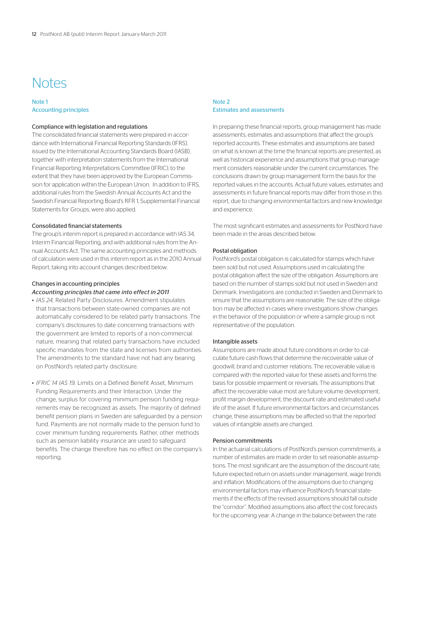### Notes

#### Note 1 Accounting principles

#### Compliance with legislation and regulations

The consolidated financial statements were prepared in accordance with International Financial Reporting Standards (IFRS), issued by the International Accounting Standards Board (IASB), together with interpretation statements from the International Financial Reporting Interpretations Committee (IFRIC), to the extent that they have been approved by the European Commission for application within the European Union. In addition to IFRS, additional rules from the Swedish Annual Accounts Act and the Swedish Financial Reporting Board's RFR 1, Supplemental Financial Statements for Groups, were also applied.

#### Consolidated financial statements

The group's interim report is prepared in accordance with IAS 34, Interim Financial Reporting, and with additional rules from the Annual Accounts Act. The same accounting principles and methods of calculation were used in this interim report as in the 2010 Annual Report, taking into account changes described below.

#### Changes in accounting principles

*Accounting principles that came into effect in 2011* 

- *• IAS 24,* Related Party Disclosures. Amendment stipulates that transactions between state-owned companies are not automatically considered to be related party transactions. The company's disclosures to date concerning transactions with the government are limited to reports of a non-commercial nature, meaning that related party transactions have included specific mandates from the state and licenses from authorities. The amendments to the standard have not had any bearing on PostNord's related party disclosure.
- • *IFRIC 14 IAS 19,* Limits on a Defined Benefit Asset, Minimum Funding Requirements and their Interaction. Under the change, surplus for covering minimum pension funding requirements may be recognized as assets. The majority of defined benefit pension plans in Sweden are safeguarded by a pension fund. Payments are not normally made to the pension fund to cover minimum funding requirements. Rather, other methods such as pension liability insurance are used to safeguard benefits. The change therefore has no effect on the company's reporting.

#### Note 2 Estimates and assessments

In preparing these financial reports, group management has made assessments, estimates and assumptions that affect the group's reported accounts. These estimates and assumptions are based on what is known at the time the financial reports are presented, as well as historical experience and assumptions that group management considers reasonable under the current circumstances. The conclusions drawn by group management form the basis for the reported values in the accounts. Actual future values, estimates and assessments in future financial reports may differ from those in this report, due to changing environmental factors and new knowledge and experience.

The most significant estimates and assessments for PostNord have been made in the areas described below.

#### Postal obligation

PostNord's postal obligation is calculated for stamps which have been sold but not used. Assumptions used in calculating the postal obligation affect the size of the obligation. Assumptions are based on the number of stamps sold but not used in Sweden and Denmark. Investigations are conducted in Sweden and Denmark to ensure that the assumptions are reasonable. The size of the obligation may be affected in cases where investigations show changes in the behavior of the population or where a sample group is not representative of the population.

#### Intangible assets

Assumptions are made about future conditions in order to calculate future cash flows that determine the recoverable value of goodwill, brand and customer relations. The recoverable value is compared with the reported value for these assets and forms the basis for possible impairment or reversals. The assumptions that affect the recoverable value most are future volume development, profit margin development, the discount rate and estimated useful life of the asset. If future environmental factors and circumstances change, these assumptions may be affected so that the reported values of intangible assets are changed.

#### Pension commitments

In the actuarial calculations of PostNord's pension commitments, a number of estimates are made in order to set reasonable assumptions. The most significant are the assumption of the discount rate, future expected return on assets under management, wage trends and inflation. Modifications of the assumptions due to changing environmental factors may influence PostNord's financial statements if the effects of the revised assumptions should fall outside the "corridor". Modified assumptions also affect the cost forecasts for the upcoming year. A change in the balance between the rate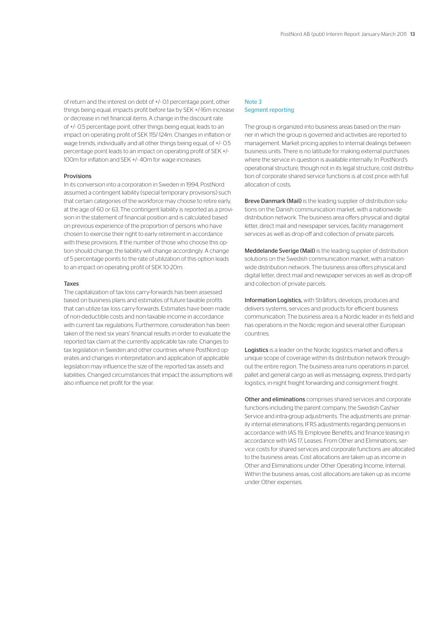of return and the interest on debt of +/- 0.1 percentage point, other things being equal, impacts profit before tax by SEK +/-16m increase or decrease in net financial items. A change in the discount rate of +/- 0.5 percentage point, other things being equal, leads to an impact on operating profit of SEK 115/-124m. Changes in inflation or wage trends, individually and all other things being equal, of +/- 0.5 percentage point leads to an impact on operating profit of SEK +/- 100m for inflation and SEK +/- 40m for wage increases.

#### Provisions

In its conversion into a corporation in Sweden in 1994, PostNord assumed a contingent liability (special temporary provisions) such that certain categories of the workforce may choose to retire early, at the age of 60 or 63. The contingent liability is reported as a provision in the statement of financial position and is calculated based on previous experience of the proportion of persons who have chosen to exercise their right to early retirement in accordance with these provisions. If the number of those who choose this option should change, the liability will change accordingly. A change of 5 percentage points to the rate of utilization of this option leads to an impact on operating profit of SEK 10-20m.

#### Taxes

The capitalization of tax loss carry-forwards has been assessed based on business plans and estimates of future taxable profits that can utilize tax loss carry-forwards. Estimates have been made of non-deductible costs and non-taxable income in accordance with current tax regulations. Furthermore, consideration has been taken of the next six years' financial results in order to evaluate the reported tax claim at the currently applicable tax rate. Changes to tax legislation in Sweden and other countries where PostNord operates and changes in interpretation and application of applicable legislation may influence the size of the reported tax assets and liabilities. Changed circumstances that impact the assumptions will also influence net profit for the year.

#### Note 3 Segment reporting

The group is organized into business areas based on the manner in which the group is governed and activities are reported to management. Market pricing applies to internal dealings between business units. There is no latitude for making external purchases where the service in question is available internally. In PostNord's operational structure, though not in its legal structure, cost distribution of corporate shared service functions is at cost price with full allocation of costs.

Breve Danmark (Mail) is the leading supplier of distribution solutions on the Danish communication market, with a nationwide distribution network. The business area offers physical and digital letter, direct mail and newspaper services, facility management services as well as drop-off and collection of private parcels.

Meddelande Sverige (Mail) is the leading supplier of distribution solutions on the Swedish communication market, with a nationwide distribution network. The business area offers physical and digital letter, direct mail and newspaper services as well as drop-off and collection of private parcels.

Information Logistics, with Strålfors, develops, produces and delivers systems, services and products for efficient business communication. The business area is a Nordic leader in its field and has operations in the Nordic region and several other European countries.

Logistics is a leader on the Nordic logistics market and offers a unique scope of coverage within its distribution network throughout the entire region. The business area runs operations in parcel, pallet and general cargo as well as messaging, express, third-party logistics, in-night freight forwarding and consignment freight.

Other and eliminations comprises shared services and corporate functions including the parent company, the Swedish Cashier Service and intra-group adjustments. The adjustments are primarily internal eliminations; IFRS adjustments regarding pensions in accordance with IAS 19, Employee Benefits; and finance leasing in accordance with IAS 17, Leases. From Other and Eliminations, service costs for shared services and corporate functions are allocated to the business areas. Cost allocations are taken up as income in Other and Eliminations under Other Operating Income, Internal. Within the business areas, cost allocations are taken up as income under Other expenses.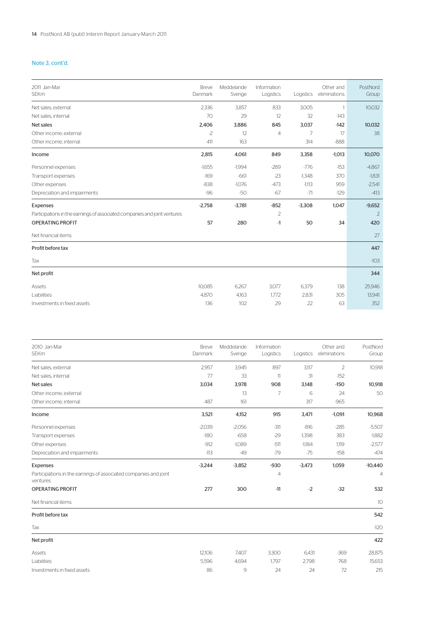### Note 3, cont'd.

| 2011 Jan-Mar<br><b>SEKm</b>                                               | <b>Breve</b><br>Danmark | Meddelande<br>Sverige | Information<br>Logistics | Logistics | Other and<br>eliminations | PostNord<br>Group |
|---------------------------------------------------------------------------|-------------------------|-----------------------|--------------------------|-----------|---------------------------|-------------------|
| Net sales, external                                                       | 2,336                   | 3,857                 | 833                      | 3,005     | $\mathbf{1}$              | 10,032            |
| Net sales, internal                                                       | 70                      | 29                    | 12                       | 32        | $-143$                    |                   |
| Net sales                                                                 | 2,406                   | 3,886                 | 845                      | 3,037     | $-142$                    | 10,032            |
| Other income, external                                                    | $-2$                    | 12                    | $\overline{4}$           | 7         | 17                        | 38                |
| Other income, internal                                                    | 411                     | 163                   |                          | 314       | $-888$                    |                   |
| Income                                                                    | 2,815                   | 4,061                 | 849                      | 3,358     | $-1,013$                  | 10,070            |
| Personnel expenses                                                        | $-1,655$                | $-1,994$              | $-289$                   | $-776$    | $-153$                    | $-4,867$          |
| Transport expenses                                                        | $-169$                  | $-661$                | $-23$                    | $-1,348$  | 370                       | $-1,831$          |
| Other expenses                                                            | $-838$                  | $-1,076$              | $-473$                   | $-1,113$  | 959                       | $-2,541$          |
| Depreciation and impairments                                              | $-96$                   | $-50$                 | $-67$                    | $-71$     | $-129$                    | $-413$            |
| <b>Expenses</b>                                                           | $-2,758$                | $-3,781$              | $-852$                   | $-3,308$  | 1,047                     | $-9,652$          |
| Participations in the earnings of associated companies and joint ventures |                         |                       | $\overline{2}$           |           |                           | 2                 |
| <b>OPERATING PROFIT</b>                                                   | 57                      | 280                   | -1                       | 50        | 34                        | 420               |
| Net financial items                                                       |                         |                       |                          |           |                           | 27                |
| Profit before tax                                                         |                         |                       |                          |           |                           | 447               |
| Tax                                                                       |                         |                       |                          |           |                           | $-103$            |
| Net profit                                                                |                         |                       |                          |           |                           | 344               |
| Assets                                                                    | 10.085                  | 6.267                 | 3.077                    | 6.379     | 138                       | 25.946            |
| Liabilities                                                               | 4,870                   | 4,163                 | 1,772                    | 2,831     | 305                       | 13,941            |
| Investments in fixed assets                                               | 136                     | 102                   | 29                       | 22        | 63                        | 352               |

| 2010 Jan-Mar                                                                 | <b>Breve</b> | Meddelande     | Information    |           | Other and    | PostNord       |
|------------------------------------------------------------------------------|--------------|----------------|----------------|-----------|--------------|----------------|
| <b>SEKm</b>                                                                  | Danmark      | Sverige        | Logistics      | Logistics | eliminations | Group          |
| Net sales, external                                                          | 2,957        | 3.945          | 897            | 3.117     | 2            | 10,918         |
| Net sales, internal                                                          | 77           | 33             | 11             | 31        | $-152$       |                |
| Net sales                                                                    | 3,034        | 3,978          | 908            | 3,148     | $-150$       | 10,918         |
| Other income, external                                                       |              | 13             | 7              | 6         | 24           | 50             |
| Other income, internal                                                       | 487          | 161            |                | 317       | $-965$       |                |
| Income                                                                       | 3,521        | 4,152          | 915            | 3,471     | $-1,091$     | 10,968         |
| Personnel expenses                                                           | $-2,039$     | $-2,056$       | $-311$         | $-816$    | $-285$       | $-5,507$       |
| Transport expenses                                                           | $-180$       | $-658$         | $-29$          | $-1,398$  | 383          | $-1,882$       |
| Other expenses                                                               | $-912$       | $-1,089$       | $-511$         | $-1,184$  | 1,119        | $-2,577$       |
| Depreciation and impairments                                                 | $-113$       | $-49$          | $-79$          | $-75$     | $-158$       | $-474$         |
| <b>Expenses</b>                                                              | $-3,244$     | $-3,852$       | $-930$         | $-3,473$  | 1,059        | $-10,440$      |
| Participations in the earnings of associated companies and joint<br>ventures |              |                | $\overline{4}$ |           |              | $\overline{4}$ |
| OPERATING PROFIT                                                             | 277          | 300            | $-11$          | $-2$      | $-32$        | 532            |
| Net financial items                                                          |              |                |                |           |              | 10             |
| Profit before tax                                                            |              |                |                |           |              | 542            |
| Tax                                                                          |              |                |                |           |              | $-120$         |
| Net profit                                                                   |              |                |                |           |              | 422            |
| Assets                                                                       | 12,106       | 7,407          | 3,300          | 6,431     | $-369$       | 28,875         |
| Liabilities                                                                  | 5,596        | 4,694          | 1,797          | 2,798     | 768          | 15,653         |
| Investments in fixed assets                                                  | 86           | $\overline{9}$ | 24             | 24        | 72           | 215            |
|                                                                              |              |                |                |           |              |                |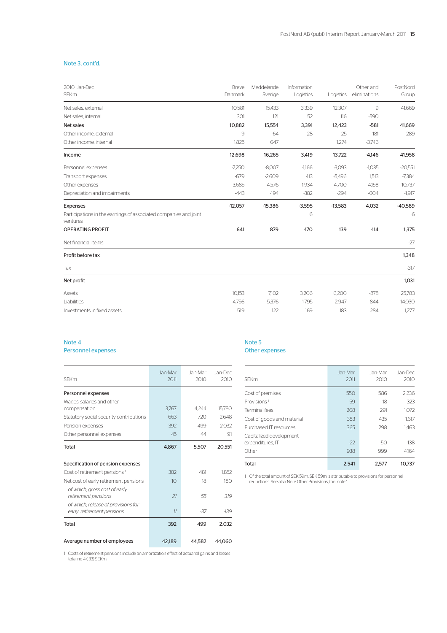#### Note 3, cont'd.

| 2010 Jan-Dec                                                                 | <b>Breve</b> | Meddelande | Information |           | Other and    | PostNord  |
|------------------------------------------------------------------------------|--------------|------------|-------------|-----------|--------------|-----------|
| <b>SEKm</b>                                                                  | Danmark      | Sverige    | Logistics   | Logistics | eliminations | Group     |
| Net sales, external                                                          | 10.581       | 15.433     | 3.339       | 12,307    | 9            | 41.669    |
| Net sales, internal                                                          | 301          | 121        | 52          | 116       | $-590$       |           |
| Net sales                                                                    | 10,882       | 15,554     | 3,391       | 12,423    | $-581$       | 41,669    |
| Other income, external                                                       | -9           | 64         | 28          | 25        | 181          | 289       |
| Other income, internal                                                       | 1,825        | 647        |             | 1,274     | $-3,746$     |           |
| Income                                                                       | 12,698       | 16,265     | 3,419       | 13,722    | $-4,146$     | 41,958    |
| Personnel expenses                                                           | $-7,250$     | $-8,007$   | $-1,166$    | $-3,093$  | $-1,035$     | $-20,551$ |
| Transport expenses                                                           | $-679$       | $-2,609$   | $-113$      | $-5,496$  | 1,513        | $-7,384$  |
| Other expenses                                                               | $-3,685$     | $-4,576$   | $-1,934$    | $-4.700$  | 4,158        | $-10,737$ |
| Depreciation and impairments                                                 | $-443$       | $-194$     | $-382$      | $-294$    | $-604$       | $-1,917$  |
| Expenses                                                                     | $-12,057$    | $-15,386$  | $-3,595$    | $-13,583$ | 4,032        | $-40,589$ |
| Participations in the earnings of associated companies and joint<br>ventures |              |            | 6           |           |              | 6         |
| <b>OPERATING PROFIT</b>                                                      | 641          | 879        | $-170$      | 139       | $-114$       | 1,375     |
| Net financial items                                                          |              |            |             |           |              | $-27$     |
| Profit before tax                                                            |              |            |             |           |              | 1,348     |
| Tax                                                                          |              |            |             |           |              | $-317$    |
| Net profit                                                                   |              |            |             |           |              | 1,031     |
| Assets                                                                       | 10,153       | 7,102      | 3,206       | 6,200     | $-878$       | 25,783    |
| Liabilities                                                                  | 4.756        | 5.376      | 1.795       | 2.947     | $-844$       | 14,030    |
| Investments in fixed assets                                                  | 519          | 122        | 169         | 183       | 284          | 1,277     |
|                                                                              |              |            |             |           |              |           |

### Note 4

### Personnel expenses

| <b>SEKm</b>                                                      | Jan-Mar<br>2011 | Jan-Mar<br>2010 | Jan-Dec<br>2010 |
|------------------------------------------------------------------|-----------------|-----------------|-----------------|
| Personnel expenses                                               |                 |                 |                 |
| Wages, salaries and other<br>compensation                        | 3.767           | 4.244           | 15.780          |
| Statutory social security contributions                          | 663             | 720             | 2.648           |
| Pension expenses                                                 | 392             | 499             | 2.032           |
| Other personnel expenses                                         | 45              | 44              | 91              |
| Total                                                            | 4.867           | 5,507           | 20.551          |
| Specification of pension expenses                                |                 |                 |                 |
| Cost of retirement pensions <sup>1</sup>                         | 382             | 481             | 1.852           |
| Net cost of early retirement pensions                            | 10 <sup>2</sup> | 18              | 180             |
| of which, gross cost of early<br>retirement pensions             | 21              | 55              | 319             |
| of which, release of provisions for<br>early retirement pensions | 11              | $-37$           | $-139$          |
| Total                                                            | 392             | 499             | 2.032           |
| Average number of employees                                      | 42.189          | 44.582          | 44.060          |

### Note 5 Other expenses

| <b>SFKm</b>                                          | Jan-Mar<br>2011 | Jan-Mar<br>2010 | Jan-Dec<br>2010 |
|------------------------------------------------------|-----------------|-----------------|-----------------|
| Cost of premises                                     | 550             | 586             | 2.236           |
| Provisions <sup>1</sup>                              | 59              | 18              | 323             |
| Terminal fees                                        | 268             | 291             | 1.072           |
| Cost of goods and material                           | 383             | 435             | 1.617           |
| Purchased IT resources                               | 365             | 298             | 1.463           |
| Capitalized development<br>expenditures, IT<br>Other | $-22$<br>938    | -50<br>999      | $-138$<br>4.164 |
| Total                                                | 2.541           | 2.577           | 10.737          |

1 Of the total amount of SEK 59m, SEK 59m is attributable to provisions for personnel reductions. See also Note Other Provisions, footnote 1.

1 Costs of retirement pensions include an amortization effect of actuarial gains and losses totaling 4 (-33) SEKm.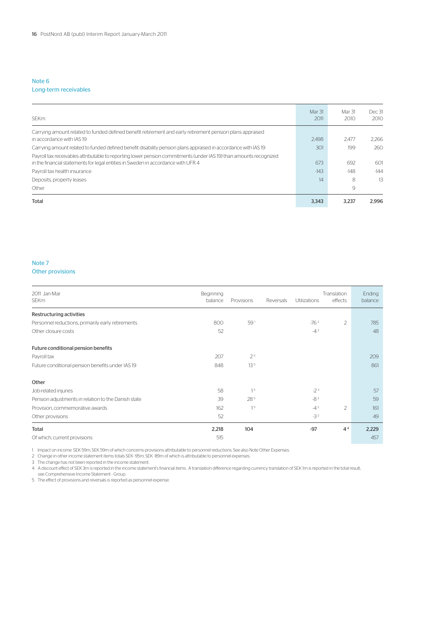#### Note 6 Long-term receivables

| <b>SFKm</b>                                                                                                                                                                                             | Mar 31<br>2011 | Mar 31<br>2010 | Dec.31<br>2010 |
|---------------------------------------------------------------------------------------------------------------------------------------------------------------------------------------------------------|----------------|----------------|----------------|
| Carrying amount related to funded defined benefit retirement and early retirement pension plans appraised<br>in accordance with IAS19                                                                   | 2.498          | 2.477          | 2.266          |
| Carrying amount related to funded defined benefit disability pension plans appraised in accordance with IAS19                                                                                           | 301            | 199            | 260            |
| Payroll tax receivables attributable to reporting lower pension commitments (under IAS 19) than amounts recognized<br>in the financial statements for legal entities in Sweden in accordance with UFR 4 | 673            | 692            | 601            |
| Payroll tax health insurance                                                                                                                                                                            | $-143$         | $-148$         | $-144$         |
| Deposits, property leases                                                                                                                                                                               | 14             | 8              | 13             |
| Other                                                                                                                                                                                                   |                | 9              |                |
| Total                                                                                                                                                                                                   | 3.343          | 3.237          | 2.996          |

#### Note 7 Other provisions

| 2011 Jan-Mar<br><b>SEKm</b>                         | Beginning<br>balance | Provisions      | Reversals | <b>Utilizations</b> | Translation<br>effects | Ending<br>balance |
|-----------------------------------------------------|----------------------|-----------------|-----------|---------------------|------------------------|-------------------|
| Restructuring activities                            |                      |                 |           |                     |                        |                   |
| Personnel reductions, primarily early retirements   | 800                  | 591             |           | $-762$              | 2                      | 785               |
| Other closure costs                                 | 52                   |                 |           | $-4^2$              |                        | 48                |
| Future conditional pension benefits                 |                      |                 |           |                     |                        |                   |
| Payroll tax                                         | 207                  | 2 <sup>5</sup>  |           |                     |                        | 209               |
| Future conditional pension benefits under IAS 19    | 848                  | 13 <sup>5</sup> |           |                     |                        | 861               |
| Other                                               |                      |                 |           |                     |                        |                   |
| Job-related injuries                                | 58                   | 1 <sup>5</sup>  |           | $-2^{3}$            |                        | 57                |
| Pension adjustments in relation to the Danish state | 39                   | 285             |           | $-82$               |                        | 59                |
| Provision, commemorative awards                     | 162                  | 1 <sup>5</sup>  |           | $-4^2$              | $\mathcal{P}$          | 161               |
| Other provisions                                    | 52                   |                 |           | $-32$               |                        | 49                |
| Total                                               | 2,218                | 104             |           | $-97$               | 4 <sup>4</sup>         | 2,229             |
| Of which, current provisions                        | 515                  |                 |           |                     |                        | 457               |

1 Impact on income: SEK 59m, SEK 59m of which concerns provisions attributable to personnel reductions. See also Note Other Expenses.<br>2 Change in other income statement items totals SEK-95m, SEK-89m of which is attributa

3 The change has not been reported in the income statement.<br>4 A discount effect of SEK 3m is reported in the income statement's financial items. A translation difference regarding currency translation of SEK 1m is reported see Comprehensive Income Statement - Group.

5 The effect of provisions and reversals is reported as personnel expense.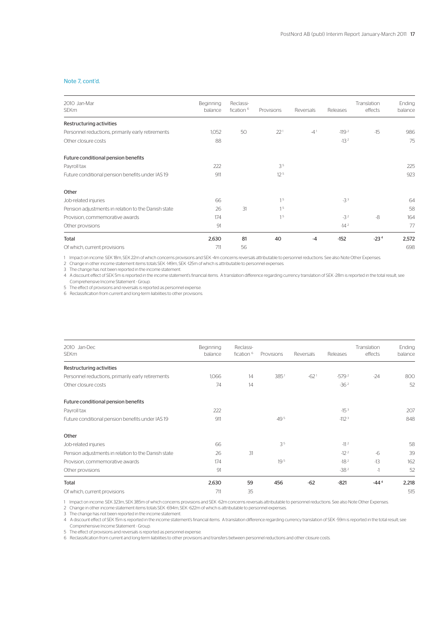#### Note 7, cont'd.

| 2010 Jan-Mar<br><b>SEKm</b>                         | <b>Beginning</b><br>balance | Reclassi-<br>fication <sup>6</sup> | Provisions      | Reversals | Releases  | Translation<br>effects | Ending<br>balance |
|-----------------------------------------------------|-----------------------------|------------------------------------|-----------------|-----------|-----------|------------------------|-------------------|
| Restructuring activities                            |                             |                                    |                 |           |           |                        |                   |
| Personnel reductions, primarily early retirements   | 1.052                       | 50                                 | 22 <sup>1</sup> | $-41$     | $-1192$   | $-15$                  | 986               |
| Other closure costs                                 | 88                          |                                    |                 |           | $-132$    |                        | 75                |
| Future conditional pension benefits                 |                             |                                    |                 |           |           |                        |                   |
| Payroll tax                                         | 222                         |                                    | 35              |           |           |                        | 225               |
| Future conditional pension benefits under IAS 19    | 911                         |                                    | 12 <sup>5</sup> |           |           |                        | 923               |
| Other                                               |                             |                                    |                 |           |           |                        |                   |
| Job-related injuries                                | 66                          |                                    | 1 <sup>5</sup>  |           | $-33$     |                        | 64                |
| Pension adjustments in relation to the Danish state | 26                          | 31                                 | 1 <sup>5</sup>  |           |           |                        | 58                |
| Provision, commemorative awards                     | 174                         |                                    | 1 <sup>5</sup>  |           | $-32$     | -8                     | 164               |
| Other provisions                                    | 91                          |                                    |                 |           | $-14^{2}$ |                        | 77                |
| Total                                               | 2,630                       | 81                                 | 40              | $-4$      | $-152$    | $-234$                 | 2,572             |
| Of which, current provisions                        | 711                         | 56                                 |                 |           |           |                        | 698               |

1 Impact on income: SEK 18m, SEK 22m of which concerns provisions and SEK -4m concerns reversals attributable to personnel reductions. See also Note Other Expenses.

2 Change in other income statement items totals SEK -149m, SEK -125m of which is attributable to personnel expenses.

3 The change has not been reported in the income statement.

4 A discount effect of SEK 5m is reported in the income statement's financial items. A translation difference regarding currency translation of SEK-28m is reported in the total result; see<br>Comprehensive Income Statement -

5 The effect of provisions and reversals is reported as personnel expense.

6 Reclassification from current and long-term liabilities to other provisions.

| 2010 Jan-Dec<br><b>SEKm</b>                         | <b>Beginning</b><br>balance | Reclassi-<br>fication <sup>6</sup> | Provisions       | Reversals | Releases  | Translation<br>effects | Ending<br>balance |
|-----------------------------------------------------|-----------------------------|------------------------------------|------------------|-----------|-----------|------------------------|-------------------|
| Restructuring activities                            |                             |                                    |                  |           |           |                        |                   |
| Personnel reductions, primarily early retirements   | 1,066                       | 14                                 | 385 <sup>1</sup> | $-621$    | $-5792$   | $-24$                  | 800               |
| Other closure costs                                 | 74                          | 14                                 |                  |           | $-362$    |                        | 52                |
| Future conditional pension benefits                 |                             |                                    |                  |           |           |                        |                   |
| Payroll tax                                         | 222                         |                                    |                  |           | $-153$    |                        | 207               |
| Future conditional pension benefits under IAS 19    | 911                         |                                    | 495              |           | $-1123$   |                        | 848               |
| Other                                               |                             |                                    |                  |           |           |                        |                   |
| Job-related injuries                                | 66                          |                                    | 35               |           | $-112$    |                        | 58                |
| Pension adjustments in relation to the Danish state | 26                          | 31                                 |                  |           | $-12^{2}$ | -6                     | 39                |
| Provision, commemorative awards                     | 174                         |                                    | 19 <sup>5</sup>  |           | $-182$    | $-13$                  | 162               |
| Other provisions                                    | 91                          |                                    |                  |           | $-382$    | $-1$                   | 52                |
| Total                                               | 2,630                       | 59                                 | 456              | $-62$     | $-821$    | $-444$                 | 2,218             |
| Of which, current provisions                        | 711                         | 35                                 |                  |           |           |                        | 515               |

1 Impact on income: SEK 323m, SEK 385m of which concerns provisions and SEK -62m concerns reversals attributable to personnel reductions. See also Note Other Expenses.

2 Change in other income statement items totals SEK -694m, SEK -622m of which is attributable to personnel expenses.

3 The change has not been reported in the income statement.<br>4 A discount effect of SEK 15m is reported in the income statement's financial items. A translation difference regarding currency translation of SEK-59m is report Comprehensive Income Statement - Group.

5 The effect of provisions and reversals is reported as personnel expense.

6 Reclassification from current and long-term liabilities to other provisions and transfers between personnel reductions and other closure costs.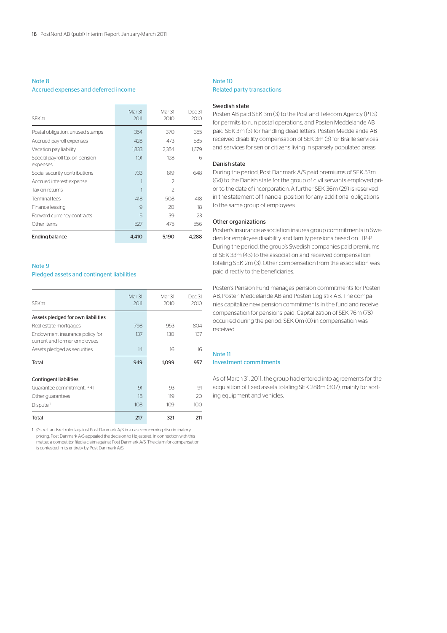#### Note 8

#### Accrued expenses and deferred income

| <b>SEKm</b>                                | Mar 31<br>2011 | Mar 31<br>2010 | Dec.31<br>2010 |
|--------------------------------------------|----------------|----------------|----------------|
| Postal obligation, unused stamps           | 354            | 370            | 355            |
| Accrued payroll expenses                   | 428            | 473            | 585            |
| Vacation pay liability                     | 1,833          | 2.354          | 1.679          |
| Special payroll tax on pension<br>expenses | 1O1            | 128            | 6              |
| Social security contributions              | 733            | 819            | 648            |
| Accrued interest expense                   |                | $\mathcal{P}$  |                |
| Tax on returns                             | 1              | $\mathcal{P}$  |                |
| Terminal fees                              | 418            | 508            | 418            |
| Finance leasing                            | 9              | 20             | 18             |
| Forward currency contracts                 | 5              | 39             | 23             |
| Other items                                | 527            | 475            | 556            |
| Ending balance                             | 4.410          | 5.190          | 4.288          |

### Note 9

#### Pledged assets and contingent liabilities

| <b>SFKm</b>                                                    | Mar 31<br>2011 | Mar 31<br>2010 | Dec.31<br>2010 |
|----------------------------------------------------------------|----------------|----------------|----------------|
| Assets pledged for own liabilities                             |                |                |                |
| Real estate mortgages                                          | 798            | 953            | 804            |
| Endowment insurance policy for<br>current and former employees | 137            | 130            | 137            |
| Assets pledged as securities                                   | 14             | 16             | 16             |
| Total                                                          | 949            | 1.099          | 957            |
| Contingent liabilities                                         |                |                |                |
| Guarantee commitment, PRI                                      | 91             | 93             | 91             |
| Other quarantees                                               | 18             | 119            | 20             |
| Dispute <sup>1</sup>                                           | 108            | 109            | 100            |
| Total                                                          | 217            | 321            | 211            |

1 Østre Landsret ruled against Post Danmark A/S in a case concerning discriminatory pricing. Post Danmark A/S appealed the decision to Højesteret. In connection with this matter, a competitor filed a claim against Post Danmark A/S. The claim for compensation is contested in its entirety by Post Danmark A/S.

#### Note 10 Related party transactions

#### Swedish state

Posten AB paid SEK 3m (3) to the Post and Telecom Agency (PTS) for permits to run postal operations, and Posten Meddelande AB paid SEK 3m (3) for handling dead letters. Posten Meddelande AB received disability compensation of SEK 3m (3) for Braille services and services for senior citizens living in sparsely populated areas.

#### Danish state

During the period, Post Danmark A/S paid premiums of SEK 53m (64) to the Danish state for the group of civil servants employed prior to the date of incorporation. A further SEK 36m (29) is reserved in the statement of financial position for any additional obligations to the same group of employees.

#### Other organizations

Posten's insurance association insures group commitments in Sweden for employee disability and family pensions based on ITP-P. During the period, the group's Swedish companies paid premiums of SEK 33m (43) to the association and received compensation totaling SEK 2m (3). Other compensation from the association was paid directly to the beneficiaries.

Posten's Pension Fund manages pension commitments for Posten AB, Posten Meddelande AB and Posten Logistik AB. The companies capitalize new pension commitments in the fund and receive compensation for pensions paid. Capitalization of SEK 76m (78) occurred during the period; SEK 0m (0) in compensation was received.

#### Note 11 Investment commitments

As of March 31, 2011, the group had entered into agreements for the acquisition of fixed assets totaling SEK 288m (307), mainly for sorting equipment and vehicles.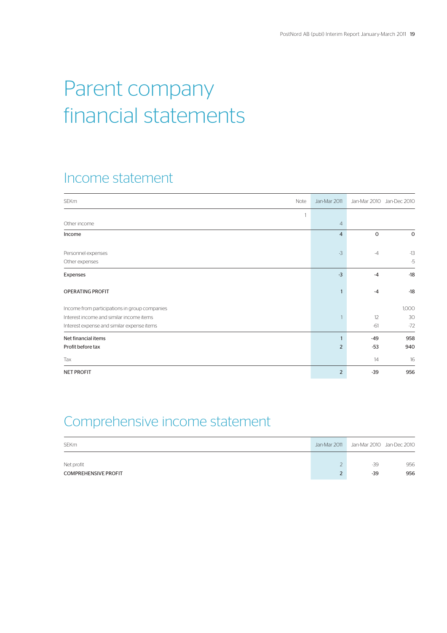# Parent company financial statements

### Income statement

| SEKm<br>Note                                  | Jan-Mar 2011   |             | Jan-Mar 2010 Jan-Dec 2010 |
|-----------------------------------------------|----------------|-------------|---------------------------|
| $\overline{1}$                                |                |             |                           |
| Other income                                  | $\overline{4}$ |             |                           |
| Income                                        | $\overline{4}$ | $\mathbf 0$ | 0                         |
| Personnel expenses                            | $-3$           | $-4$        | $-13$                     |
| Other expenses                                |                |             | $-5$                      |
| Expenses                                      | $-3$           | $-4$        | $-18$                     |
| <b>OPERATING PROFIT</b>                       |                | $-4$        | $-18$                     |
| Income from participations in group companies |                |             | 1,000                     |
| Interest income and similar income items      |                | 12          | 30                        |
| Interest expense and similar expense items    |                | -61         | $-72$                     |
| Net financial items                           |                | $-49$       | 958                       |
| Profit before tax                             | $\overline{2}$ | $-53$       | 940                       |
| Tax                                           |                | 14          | 16                        |
| <b>NET PROFIT</b>                             | $\overline{2}$ | $-39$       | 956                       |

## Comprehensive income statement

| <b>SEKm</b>                 | Jan-Mar 2011 | Jan-Mar 2010 Jan-Dec 2010 |     |
|-----------------------------|--------------|---------------------------|-----|
| Net profit                  |              | -39                       | 956 |
| <b>COMPREHENSIVE PROFIT</b> |              | -39                       | 956 |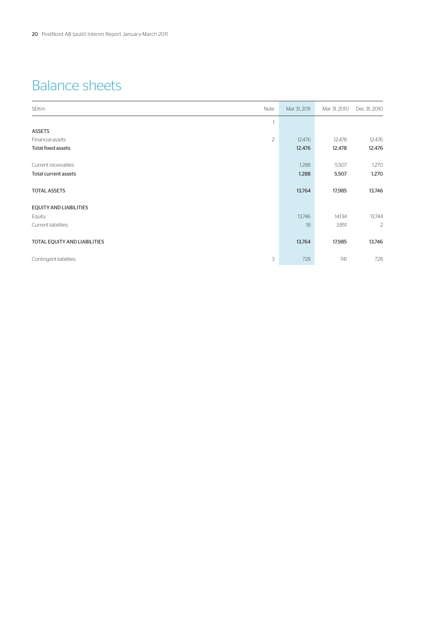## Balance sheets

| <b>SEKm</b>                   | Note           | Mar 31, 2011 | Mar 31, 2010 | Dec 31, 2010   |
|-------------------------------|----------------|--------------|--------------|----------------|
|                               |                |              |              |                |
| <b>ASSETS</b>                 |                |              |              |                |
| Financial assets              | $\overline{2}$ | 12,476       | 12,478       | 12,476         |
| <b>Total fixed assets</b>     |                | 12,476       | 12,478       | 12,476         |
| Current receivables           |                | 1,288        | 5,507        | 1,270          |
| Total current assets          |                | 1,288        | 5,507        | 1,270          |
| <b>TOTAL ASSETS</b>           |                | 13,764       | 17,985       | 13,746         |
| <b>EQUITY AND LIABILITIES</b> |                |              |              |                |
| Equity                        |                | 13,746       | 14,134       | 13,744         |
| Current liabilities           |                | 18           | 3,851        | $\overline{2}$ |
| TOTAL EQUITY AND LIABILITIES  |                | 13,764       | 17,985       | 13,746         |
| Contingent liabilities        | 3              | 728          | 741          | 728            |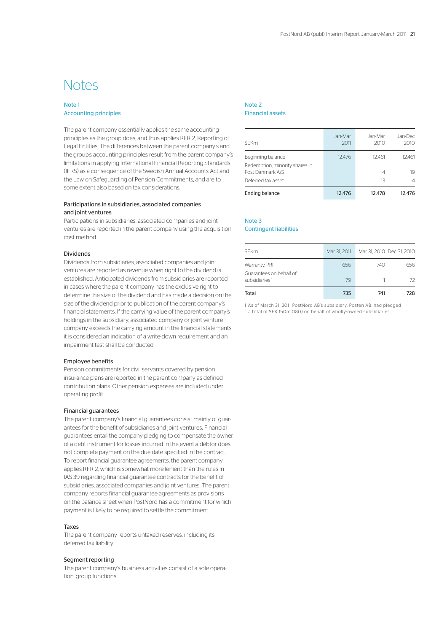### Notes

#### Note 1 Accounting principles

The parent company essentially applies the same accounting principles as the group does, and thus applies RFR 2, Reporting of Legal Entities. The differences between the parent company's and the group's accounting principles result from the parent company's limitations in applying International Financial Reporting Standards (IFRS) as a consequence of the Swedish Annual Accounts Act and the Law on Safeguarding of Pension Commitments, and are to some extent also based on tax considerations.

#### Participations in subsidiaries, associated companies and joint ventures

Participations in subsidiaries, associated companies and joint ventures are reported in the parent company using the acquisition cost method.

#### Dividends

Dividends from subsidiaries, associated companies and joint ventures are reported as revenue when right to the dividend is established. Anticipated dividends from subsidiaries are reported in cases where the parent company has the exclusive right to determine the size of the dividend and has made a decision on the size of the dividend prior to publication of the parent company's financial statements. If the carrying value of the parent company's holdings in the subsidiary, associated company or joint venture company exceeds the carrying amount in the financial statements, it is considered an indication of a write-down requirement and an impairment test shall be conducted.

#### Employee benefits

Pension commitments for civil servants covered by pension insurance plans are reported in the parent company as defined contribution plans. Other pension expenses are included under operating profit.

#### Financial guarantees

The parent company's financial guarantees consist mainly of guarantees for the benefit of subsidiaries and joint ventures. Financial guarantees entail the company pledging to compensate the owner of a debt instrument for losses incurred in the event a debtor does not complete payment on the due date specified in the contract. To report financial guarantee agreements, the parent company applies RFR 2, which is somewhat more lenient than the rules in IAS 39 regarding financial guarantee contracts for the benefit of subsidiaries, associated companies and joint ventures. The parent company reports financial guarantee agreements as provisions on the balance sheet when PostNord has a commitment for which payment is likely to be required to settle the commitment.

#### Taxes

The parent company reports untaxed reserves, including its deferred tax liability.

#### Segment reporting

The parent company's business activities consist of a sole operation, group functions.

#### Note 2 Financial assets

| Ending balance                                     | 12.476          | 12.478          | 12.476          |
|----------------------------------------------------|-----------------|-----------------|-----------------|
| Deferred tax asset                                 |                 | 13              | $-4$            |
| Redemption, minority shares in<br>Post Danmark A/S |                 | 4               | 19              |
| Beginning balance                                  | 12.476          | 12.461          | 12.461          |
| <b>SFKm</b>                                        | Jan-Mar<br>2011 | Jan-Mar<br>2010 | Jan-Dec<br>2010 |

### Note 3

### Contingent liabilities

| Total                                                | 735          | 741 | 728                       |
|------------------------------------------------------|--------------|-----|---------------------------|
| Guarantees on behalf of<br>subsidiaries <sup>1</sup> | 79           |     | 72                        |
| Warranty, PRI                                        | 656          | 740 | 656                       |
| <b>SFKm</b>                                          | Mar 31, 2011 |     | Mar 31, 2010 Dec 31, 2010 |

1 As of March 31, 2011 PostNord AB's subsidiary, Posten AB, had pledged a total of SEK 150m (180) on behalf of wholly-owned subsidiaries.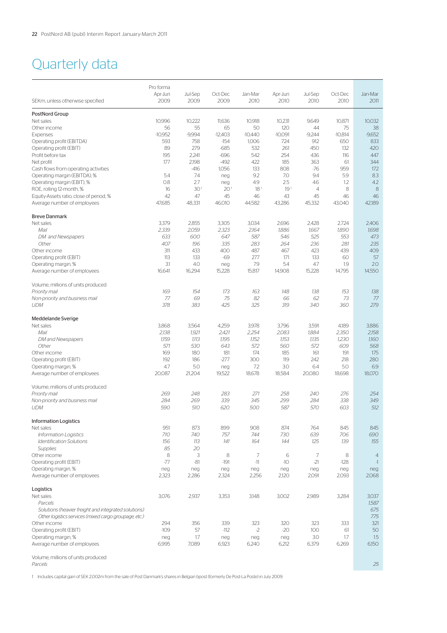# Quarterly data

|                                                                        | Pro forma<br>Apr-Jun | Jul-Sep               | Oct-Dec               | Jan-Mar         | Apr-Jun               | Jul-Sep              | Oct-Dec      | Jan-Mar        |
|------------------------------------------------------------------------|----------------------|-----------------------|-----------------------|-----------------|-----------------------|----------------------|--------------|----------------|
| SEKm, unless otherwise specified                                       | 2009                 | 2009                  | 2009                  | 2010            | 2010                  | 2010                 | 2010         | 2011           |
| PostNord Group                                                         |                      |                       |                       |                 |                       |                      |              |                |
| Net sales                                                              | 10,996               | 10,222                | 11,636                | 10,918          | 10,231                | 9,649                | 10,871       | 10,032         |
| Other income                                                           | 56                   | 55                    | 65                    | 50              | 120                   | 44                   | 75           | 38             |
| Expenses                                                               | $-10,952$            | $-9,994$              | $-12,403$             | $-10,440$       | $-10,091$             | $-9,244$             | $-10,814$    | $-9,652$       |
| Operating profit (EBITDA)                                              | 593                  | 758                   | $-154$                | 1.006           | 724                   | 912                  | 650          | 833            |
| Operating profit (EBIT)                                                | 89                   | 279                   | $-685$                | 532             | 261                   | 450                  | 132          | 420            |
| Profit before tax                                                      | 195                  | 2.241                 | $-696$                | 542             | 254                   | 436                  | 116          | 447            |
| Net profit                                                             | 177                  | 2,198                 | $-492$                | 422             | 185                   | 363                  | 61           | 344            |
| Cash flows from operating activities                                   |                      | $-416$                | 1,056                 | 133             | 808                   | $-76$                | 959          | 172            |
| Operating margin (EBITDA), %                                           | 5.4                  | 7.4                   | neg                   | 9.2             | 7.0                   | 9.4                  | 5.9          | 8.3            |
| Operating margin (EBIT), %                                             | 0.8                  | 2.7                   | neg                   | 4.9             | 2.5                   | 4.6                  | 1.2          | 4.2            |
| ROE, rolling 12-month, %                                               | 16<br>42             | 30 <sup>1</sup><br>47 | 20 <sup>1</sup><br>45 | 18 <sup>1</sup> | 19 <sup>1</sup><br>43 | $\overline{4}$<br>45 | 8<br>46      | 8<br>46        |
| Equity-Assets ratio, close of period, %<br>Average number of employees | 47,685               | 48,331                | 46,010                | 46<br>44,582    | 43,286                | 45,332               | 43,040       | 42,189         |
| <b>Breve Danmark</b>                                                   |                      |                       |                       |                 |                       |                      |              |                |
| Net sales                                                              | 3,379                | 2,855                 | 3,305                 | 3,034           | 2,696                 | 2,428                | 2,724        | 2,406          |
| Mail                                                                   | 2,339                | 2,059                 | 2,323                 | 2,164           | 1,886                 | 1,667                | 1,890        | 1,698          |
| DM and Newspapers                                                      | 633                  | 600                   | 647                   | 587             | 546                   | 525                  | 553          | 473            |
| Other                                                                  | 407                  | 196                   | 335                   | 283             | 264                   | 236                  | 281          | 235            |
| Other income                                                           | 311                  | 433                   | 400                   | 487             | 467                   | 423                  | 439          | 409            |
| Operating profit (EBIT)                                                | 113                  | 133                   | -69                   | 277             | 171                   | 133                  | 60           | 57             |
| Operating margin, %                                                    | 3.1                  | 4.0                   | neg                   | 7.9             | 5.4                   | 4.7                  | 1.9          | 2.0            |
| Average number of employees                                            | 16,641               | 16,294                | 15,228                | 15,817          | 14,908                | 15,228               | 14,795       | 14,550         |
| Volume, millions of units produced                                     |                      |                       |                       |                 |                       |                      |              |                |
| Priority mail                                                          | 169                  | 154                   | 173                   | 163             | 148                   | 138                  | 153          | 138            |
| Non-priority and business mail                                         | 77                   | 69                    | 75                    | 82              | 66                    | 62                   | 73           | 77             |
| UDM                                                                    | 378                  | 383                   | 425                   | 325             | 319                   | 340                  | 360          | 279            |
| Meddelande Sverige                                                     |                      |                       |                       |                 |                       |                      |              |                |
| Net sales                                                              | 3,868                | 3,564                 | 4,259                 | 3,978           | 3,796                 | 3,591                | 4,189        | 3,886          |
| Mail                                                                   | 2,138                | 1,921                 | 2,421                 | 2,254           | 2,083                 | 1,884                | 2,350        | 2,158          |
| <b>DM</b> and Newspapers                                               | 1,159                | 1,113                 | 1,195                 | 1,152           | 1,153                 | 1,135                | 1,230        | 1,160          |
| Other                                                                  | 571                  | 530                   | 643                   | 572             | 560                   | 572                  | 609          | 568            |
| Other income                                                           | 169                  | 180                   | 181                   | 174             | 185                   | 161                  | 191          | 175            |
| Operating profit (EBIT)                                                | 192                  | 186                   | $-277$                | 300             | 119                   | 242                  | 218          | 280            |
| Operating margin, %                                                    | 4.7                  | 5.0                   | neg                   | 7.2             | 3.0                   | 6.4                  | 5.0          | 6.9            |
| Average number of employees                                            | 20,087               | 21,204                | 19,522                | 18.678          | 18,584                | 20.080               | 18,698       | 18,070         |
| Volume, millions of units produced                                     |                      |                       |                       |                 |                       |                      |              |                |
| Priority mail                                                          | 269                  | 248                   | 283                   | 271             | 258                   | 240                  | 276          | 254            |
| Non-priority and business mail                                         | 284                  | 269                   | 339                   | 345             | 299                   | 284                  | 338          | 349            |
| <b>UDM</b>                                                             | 590                  | 510                   | 620                   | 500             | 587                   | 570                  | 603          | 512            |
| <b>Information Logistics</b>                                           |                      |                       |                       |                 |                       |                      |              |                |
| Net sales                                                              | 951                  | 873                   | 899                   | 908             | 874                   | 764                  | 845          | 845            |
| Information Logistics                                                  | 710                  | 740                   | 757                   | 744             | 730                   | 639                  | 706          | 690            |
| <b>Identification Solutions</b>                                        | 156                  | 113                   | 141                   | 164             | 144                   | 125                  | 139          | 155            |
| <b>Supplies</b>                                                        | 85                   | 20                    |                       |                 |                       |                      |              |                |
| Other income                                                           | 8                    | 3                     | 8                     | 7               | 6                     | 7                    | 8            | $\overline{4}$ |
| Operating profit (EBIT)                                                | $-77$                | $-81$                 | -191                  | $-11$           | $-10$                 | $-21$                | $-128$       | $-1$           |
| Operating margin, %<br>Average number of employees                     | neg<br>2,323         | neg<br>2,286          | neg<br>2,324          | neg<br>2,256    | neg<br>2,120          | neg<br>2,091         | neg<br>2,093 | neg<br>2,068   |
|                                                                        |                      |                       |                       |                 |                       |                      |              |                |
| Logistics                                                              |                      |                       |                       |                 |                       |                      |              |                |
| Net sales                                                              | 3,076                | 2,937                 | 3,353                 | 3,148           | 3,002                 | 2,989                | 3,284        | 3,037          |
| Parcels                                                                |                      |                       |                       |                 |                       |                      |              | 1,587          |
| Solutions (heavier freight and integrated solutions)                   |                      |                       |                       |                 |                       |                      |              | 675            |
| Other logistics services (mixed cargo groupage, etc.)                  |                      |                       |                       |                 |                       |                      |              | 775            |
| Other income                                                           | 294                  | 356                   | 339                   | 323             | 320                   | 323                  | 333          | 321            |
| Operating profit (EBIT)                                                | $-109$               | 57                    | $-112$                | $-2$            | $-20$                 | 100                  | 61           | 50             |
| Operating margin, %                                                    | neg                  | 1.7                   | neg                   | neg             | neg                   | 3.0                  | $17^{1}$     | 1.5            |
| Average number of employees                                            | 6,995                | 7,089                 | 6,923                 | 6,240           | 6,212                 | 6,379                | 6,269        | 6,150          |
| Volume, millions of units produced                                     |                      |                       |                       |                 |                       |                      |              |                |

*Parcels 25*

1 Includes capital gain of SEK 2,002m from the sale of Post Danmark's shares in Belgian bpost (formerly De Post-La Poste) in July 2009.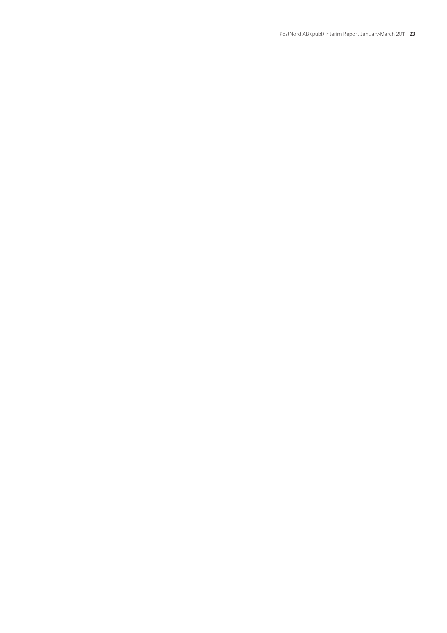PostNord AB (publ) Interim Report January-March 2011 23